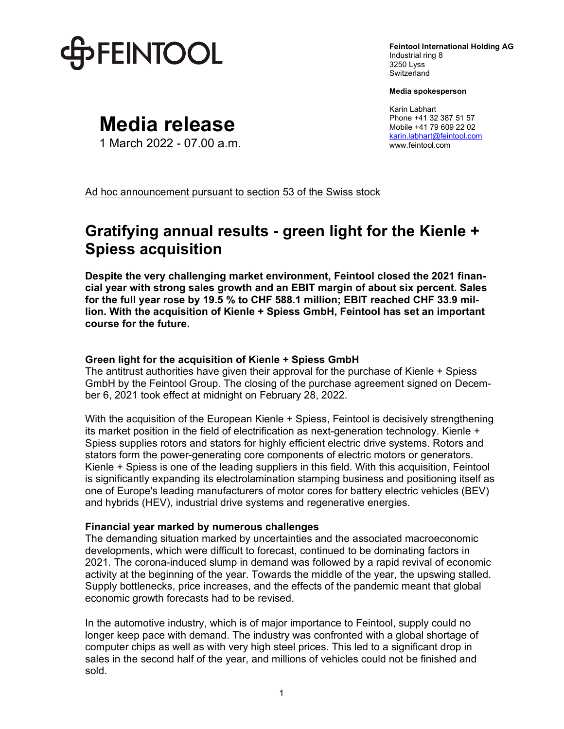

**Feintool International Holding AG**  Industrial ring 8 3250 Lyss **Switzerland** 

**Media spokesperson** 

Karin Labhart Phone +41 32 387 51 57 Mobile +41 79 609 22 02 karin.labhart@feintool.com www.feintool.com

**Media release**

1 March 2022 - 07.00 a.m.

Ad hoc announcement pursuant to section 53 of the Swiss stock

# **Gratifying annual results - green light for the Kienle + Spiess acquisition**

**Despite the very challenging market environment, Feintool closed the 2021 financial year with strong sales growth and an EBIT margin of about six percent. Sales for the full year rose by 19.5 % to CHF 588.1 million; EBIT reached CHF 33.9 million. With the acquisition of Kienle + Spiess GmbH, Feintool has set an important course for the future.** 

## **Green light for the acquisition of Kienle + Spiess GmbH**

The antitrust authorities have given their approval for the purchase of Kienle + Spiess GmbH by the Feintool Group. The closing of the purchase agreement signed on December 6, 2021 took effect at midnight on February 28, 2022.

With the acquisition of the European Kienle + Spiess, Feintool is decisively strengthening its market position in the field of electrification as next-generation technology. Kienle + Spiess supplies rotors and stators for highly efficient electric drive systems. Rotors and stators form the power-generating core components of electric motors or generators. Kienle + Spiess is one of the leading suppliers in this field. With this acquisition, Feintool is significantly expanding its electrolamination stamping business and positioning itself as one of Europe's leading manufacturers of motor cores for battery electric vehicles (BEV) and hybrids (HEV), industrial drive systems and regenerative energies.

#### **Financial year marked by numerous challenges**

The demanding situation marked by uncertainties and the associated macroeconomic developments, which were difficult to forecast, continued to be dominating factors in 2021. The corona-induced slump in demand was followed by a rapid revival of economic activity at the beginning of the year. Towards the middle of the year, the upswing stalled. Supply bottlenecks, price increases, and the effects of the pandemic meant that global economic growth forecasts had to be revised.

In the automotive industry, which is of major importance to Feintool, supply could no longer keep pace with demand. The industry was confronted with a global shortage of computer chips as well as with very high steel prices. This led to a significant drop in sales in the second half of the year, and millions of vehicles could not be finished and sold.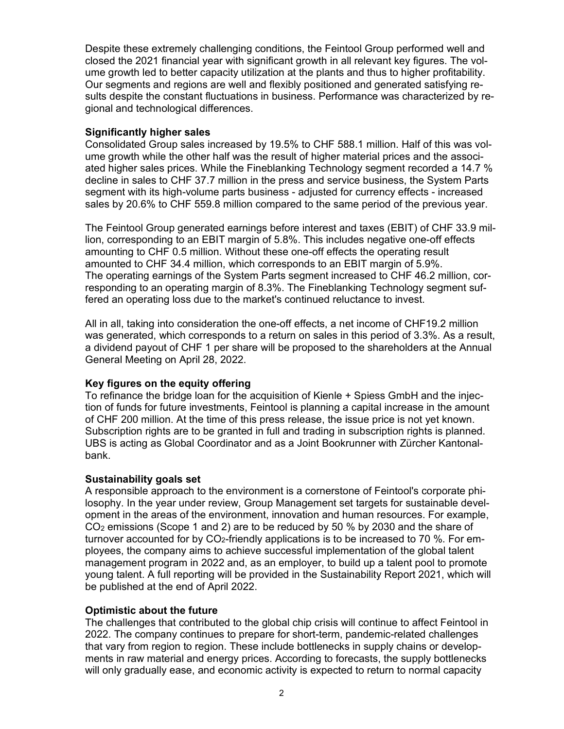Despite these extremely challenging conditions, the Feintool Group performed well and closed the 2021 financial year with significant growth in all relevant key figures. The volume growth led to better capacity utilization at the plants and thus to higher profitability. Our segments and regions are well and flexibly positioned and generated satisfying results despite the constant fluctuations in business. Performance was characterized by regional and technological differences.

# **Significantly higher sales**

Consolidated Group sales increased by 19.5% to CHF 588.1 million. Half of this was volume growth while the other half was the result of higher material prices and the associated higher sales prices. While the Fineblanking Technology segment recorded a 14.7 % decline in sales to CHF 37.7 million in the press and service business, the System Parts segment with its high-volume parts business - adjusted for currency effects - increased sales by 20.6% to CHF 559.8 million compared to the same period of the previous year.

The Feintool Group generated earnings before interest and taxes (EBIT) of CHF 33.9 million, corresponding to an EBIT margin of 5.8%. This includes negative one-off effects amounting to CHF 0.5 million. Without these one-off effects the operating result amounted to CHF 34.4 million, which corresponds to an EBIT margin of 5.9%. The operating earnings of the System Parts segment increased to CHF 46.2 million, corresponding to an operating margin of 8.3%. The Fineblanking Technology segment suffered an operating loss due to the market's continued reluctance to invest.

All in all, taking into consideration the one-off effects, a net income of CHF19.2 million was generated, which corresponds to a return on sales in this period of 3.3%. As a result, a dividend payout of CHF 1 per share will be proposed to the shareholders at the Annual General Meeting on April 28, 2022.

## **Key figures on the equity offering**

To refinance the bridge loan for the acquisition of Kienle + Spiess GmbH and the injection of funds for future investments, Feintool is planning a capital increase in the amount of CHF 200 million. At the time of this press release, the issue price is not yet known. Subscription rights are to be granted in full and trading in subscription rights is planned. UBS is acting as Global Coordinator and as a Joint Bookrunner with Zürcher Kantonalbank.

## **Sustainability goals set**

A responsible approach to the environment is a cornerstone of Feintool's corporate philosophy. In the year under review, Group Management set targets for sustainable development in the areas of the environment, innovation and human resources. For example, CO2 emissions (Scope 1 and 2) are to be reduced by 50 % by 2030 and the share of turnover accounted for by CO2-friendly applications is to be increased to 70 %. For employees, the company aims to achieve successful implementation of the global talent management program in 2022 and, as an employer, to build up a talent pool to promote young talent. A full reporting will be provided in the Sustainability Report 2021, which will be published at the end of April 2022.

## **Optimistic about the future**

The challenges that contributed to the global chip crisis will continue to affect Feintool in 2022. The company continues to prepare for short-term, pandemic-related challenges that vary from region to region. These include bottlenecks in supply chains or developments in raw material and energy prices. According to forecasts, the supply bottlenecks will only gradually ease, and economic activity is expected to return to normal capacity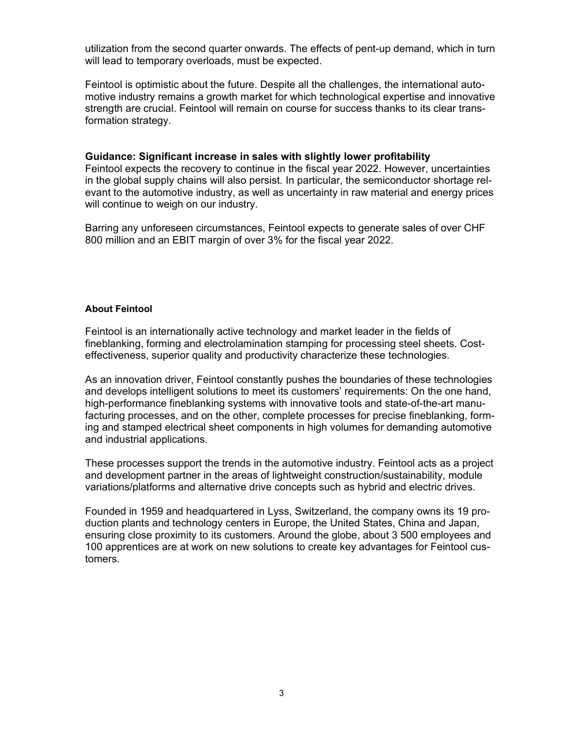utilization from the second quarter onwards. The effects of pent-up demand, which in turn will lead to temporary overloads, must be expected.

Feintool is optimistic about the future. Despite all the challenges, the international automotive industry remains a growth market for which technological expertise and innovative strength are crucial. Feintool will remain on course for success thanks to its clear transformation strategy.

#### **Guidance: Significant increase in sales with slightly lower profitability**

Feintool expects the recovery to continue in the fiscal year 2022. However, uncertainties in the global supply chains will also persist. In particular, the semiconductor shortage relevant to the automotive industry, as well as uncertainty in raw material and energy prices will continue to weigh on our industry.

Barring any unforeseen circumstances, Feintool expects to generate sales of over CHF 800 million and an EBIT margin of over 3% for the fiscal year 2022.

#### **About Feintool**

Feintool is an internationally active technology and market leader in the fields of fineblanking, forming and electrolamination stamping for processing steel sheets. Costeffectiveness, superior quality and productivity characterize these technologies.

As an innovation driver, Feintool constantly pushes the boundaries of these technologies and develops intelligent solutions to meet its customers' requirements: On the one hand, high-performance fineblanking systems with innovative tools and state-of-the-art manufacturing processes, and on the other, complete processes for precise fineblanking, forming and stamped electrical sheet components in high volumes for demanding automotive and industrial applications.

These processes support the trends in the automotive industry. Feintool acts as a project and development partner in the areas of lightweight construction/sustainability, module variations/platforms and alternative drive concepts such as hybrid and electric drives.

Founded in 1959 and headquartered in Lyss, Switzerland, the company owns its 19 production plants and technology centers in Europe, the United States, China and Japan, ensuring close proximity to its customers. Around the globe, about 3 500 employees and 100 apprentices are at work on new solutions to create key advantages for Feintool customers.